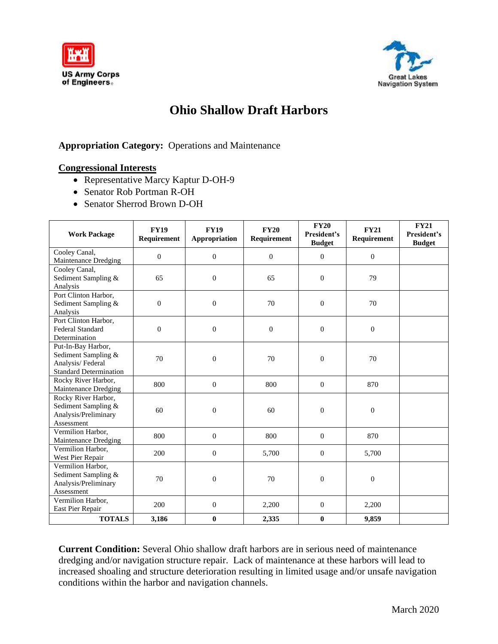



## **Ohio Shallow Draft Harbors**

## **Appropriation Category:** Operations and Maintenance

## **Congressional Interests**

- Representative Marcy Kaptur D-OH-9
- Senator Rob Portman R-OH
- Senator Sherrod Brown D-OH

| <b>Work Package</b>                                                                            | <b>FY19</b><br>Requirement | <b>FY19</b><br>Appropriation | <b>FY20</b><br>Requirement | <b>FY20</b><br>President's<br><b>Budget</b> | <b>FY21</b><br>Requirement | <b>FY21</b><br>President's<br><b>Budget</b> |
|------------------------------------------------------------------------------------------------|----------------------------|------------------------------|----------------------------|---------------------------------------------|----------------------------|---------------------------------------------|
| Cooley Canal,<br>Maintenance Dredging                                                          | $\overline{0}$             | $\mathbf{0}$                 | $\mathbf{0}$               | $\mathbf{0}$                                | $\overline{0}$             |                                             |
| Cooley Canal,<br>Sediment Sampling &<br>Analysis                                               | 65                         | $\mathbf{0}$                 | 65                         | $\mathbf{0}$                                | 79                         |                                             |
| Port Clinton Harbor,<br>Sediment Sampling &<br>Analysis                                        | $\mathbf{0}$               | $\overline{0}$               | 70                         | $\mathbf{0}$                                | 70                         |                                             |
| Port Clinton Harbor,<br><b>Federal Standard</b><br>Determination                               | $\boldsymbol{0}$           | $\mathbf{0}$                 | $\overline{0}$             | $\mathbf{0}$                                | $\boldsymbol{0}$           |                                             |
| Put-In-Bay Harbor,<br>Sediment Sampling &<br>Analysis/Federal<br><b>Standard Determination</b> | 70                         | $\Omega$                     | 70                         | $\Omega$                                    | 70                         |                                             |
| Rocky River Harbor,<br>Maintenance Dredging                                                    | 800                        | $\overline{0}$               | 800                        | $\mathbf{0}$                                | 870                        |                                             |
| Rocky River Harbor,<br>Sediment Sampling &<br>Analysis/Preliminary<br>Assessment               | 60                         | $\overline{0}$               | 60                         | $\mathbf{0}$                                | $\overline{0}$             |                                             |
| Vermilion Harbor,<br>Maintenance Dredging                                                      | 800                        | $\mathbf{0}$                 | 800                        | $\Omega$                                    | 870                        |                                             |
| Vermilion Harbor,<br>West Pier Repair                                                          | 200                        | $\mathbf{0}$                 | 5,700                      | $\mathbf{0}$                                | 5,700                      |                                             |
| Vermilion Harbor,<br>Sediment Sampling &<br>Analysis/Preliminary<br>Assessment                 | 70                         | $\overline{0}$               | 70                         | $\mathbf{0}$                                | $\boldsymbol{0}$           |                                             |
| Vermilion Harbor,<br>East Pier Repair                                                          | 200                        | $\overline{0}$               | 2,200                      | $\overline{0}$                              | 2,200                      |                                             |
| <b>TOTALS</b>                                                                                  | 3,186                      | $\bf{0}$                     | 2,335                      | $\bf{0}$                                    | 9,859                      |                                             |

**Current Condition:** Several Ohio shallow draft harbors are in serious need of maintenance dredging and/or navigation structure repair. Lack of maintenance at these harbors will lead to increased shoaling and structure deterioration resulting in limited usage and/or unsafe navigation conditions within the harbor and navigation channels.